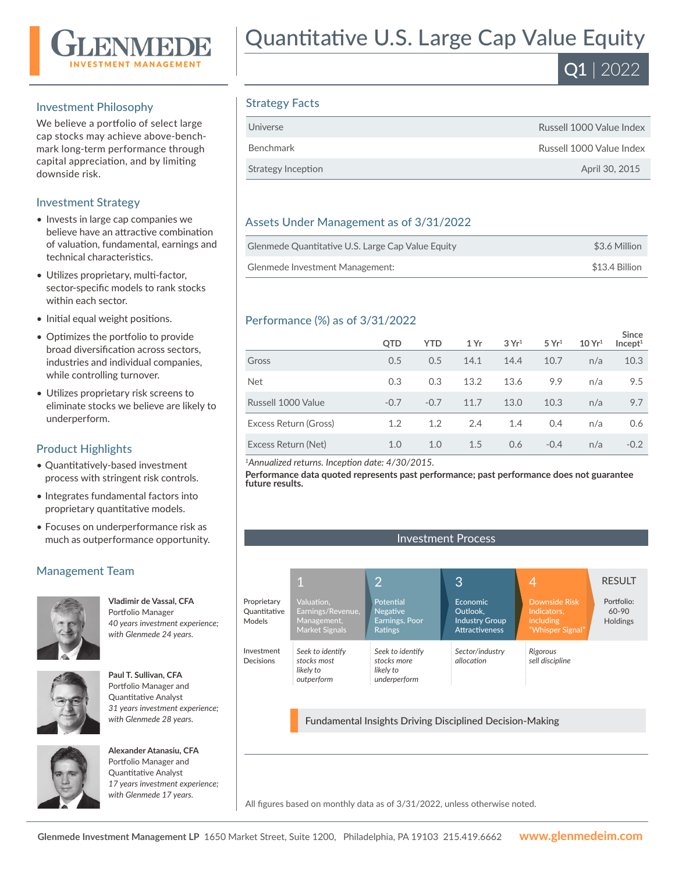

#### Investment Philosophy

We believe a portfolio of select large cap stocks may achieve above-benchmark long-term performance through capital appreciation, and by limiting downside risk.

#### Investment Strategy

- Invests in large cap companies we believe have an attractive combination of valuation, fundamental, earnings and technical characteristics.
- Utilizes proprietary, multi-factor, sector-specific models to rank stocks within each sector.
- Initial equal weight positions.
- Optimizes the portfolio to provide broad diversification across sectors, industries and individual companies, while controlling turnover.
- Utilizes proprietary risk screens to eliminate stocks we believe are likely to underperform.

### Product Highlights

- Quantitatively-based investment process with stringent risk controls.
- Integrates fundamental factors into proprietary quantitative models.
- Focuses on underperformance risk as much as outperformance opportunity.

## Management Team



**Vladimir de Vassal, CFA**  Portfolio Manager *40 years investment experience; with Glenmede 24 years.*



**Paul T. Sullivan, CFA**  Portfolio Manager and Quantitative Analyst *31 years investment experience; with Glenmede 28 years.*



**Alexander Atanasiu, CFA**  Portfolio Manager and Quantitative Analyst *17 years investment experience; with Glenmede 17 years.*

# Quantitative U.S. Large Cap Value Equity

 $\overline{Q1}$  | 2022

## Strategy Facts

| Universe           | Russell 1000 Value Index |
|--------------------|--------------------------|
| Benchmark          | Russell 1000 Value Index |
| Strategy Inception | April 30, 2015           |
|                    |                          |

### Assets Under Management as of 3/31/2022

| Glenmede Quantitative U.S. Large Cap Value Equity | \$3.6 Million  |
|---------------------------------------------------|----------------|
| Glenmede Investment Management:                   | \$13.4 Billion |

#### Performance (%) as of 3/31/2022

|                       | QTD    | <b>YTD</b> | 1 Yr | 3Yr <sup>1</sup> | 5 Yr <sup>1</sup> | 10 Yr <sup>1</sup> | <b>Since</b><br>Incept <sup>1</sup> |
|-----------------------|--------|------------|------|------------------|-------------------|--------------------|-------------------------------------|
| Gross                 | 0.5    | 0.5        | 14.1 | 14.4             | 10.7              | n/a                | 10.3                                |
| <b>Net</b>            | 0.3    | 0.3        | 13.2 | 13.6             | 9.9               | n/a                | 9.5                                 |
| Russell 1000 Value    | $-0.7$ | $-0.7$     | 11.7 | 13.0             | 10.3              | n/a                | 9.7                                 |
| Excess Return (Gross) | 1.2    | 1.2        | 2.4  | 1.4              | 0.4               | n/a                | 0.6                                 |
| Excess Return (Net)   | 1.0    | 1.0        | 1.5  | 0.6              | $-0.4$            | n/a                | $-0.2$                              |

*<sup>1</sup>Annualized returns. Inception date: 4/30/2015.*

**Performance data quoted represents past performance; past performance does not guarantee future results.**



Fundamental Insights Driving Disciplined Decision-Making

All figures based on monthly data as of 3/31/2022, unless otherwise noted.